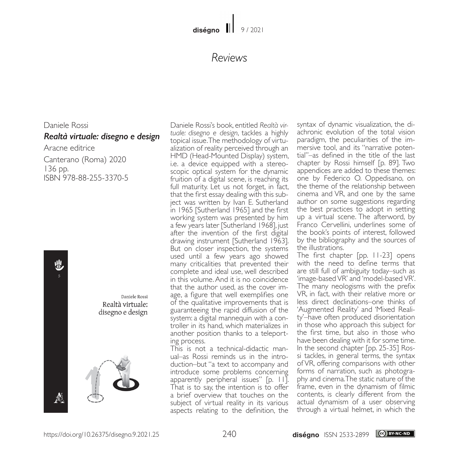## *Reviews*

## Daniele Rossi *Realtà virtuale: disegno e design* Aracne editrice

Canterano (Roma) 2020 136 pp. ISBN 978-88-255-3370-5



Daniele Rossi Realtà virtuale: disegno e design



Daniele Rossi's book, entitled *Realtà virtuale: disegno e design*, tackles a highly topical issue. The methodology of virtualization of reality perceived through an HMD (Head-Mounted Display) system, i.e. a device equipped with a stereoscopic optical system for the dynamic fruition of a digital scene, is reaching its full maturity. Let us not forget, in fact, that the first essay dealing with this subject was written by Ivan E. Sutherland in 1965 [Sutherland 1965] and the first working system was presented by him a few years later [Sutherland 1968], just after the invention of the first digital drawing instrument [Sutherland 1963]. But on closer inspection, the systems used until a few years ago showed many criticalities that prevented their complete and ideal use, well described in this volume. And it is no coincidence that the author used, as the cover image, a figure that well exemplifies one of the qualitative improvements that is guaranteeing the rapid diffusion of the system: a digital mannequin with a controller in its hand, which materializes in another position thanks to a teleporting process.

This is not a technical-didactic manual–as Rossi reminds us in the introduction–but "a text to accompany and introduce some problems concerning apparently peripheral issues" [p. 11]. That is to say, the intention is to offer a brief overview that touches on the subject of virtual reality in its various aspects relating to the definition, the

syntax of dynamic visualization, the diachronic evolution of the total vision paradigm, the peculiarities of the immersive tool, and its "narrative potential"–as defined in the title of the last chapter by Rossi himself [p. 89]. Two appendices are added to these themes: one by Federico O. Oppedisano, on the theme of the relationship between cinema and VR, and one by the same author on some suggestions regarding the best practices to adopt in setting up a virtual scene. The afterword, by Franco Cervellini, underlines some of the book's points of interest, followed by the bibliography and the sources of the illustrations.

The first chapter [pp. 11-23] opens with the need to define terms that are still full of ambiguity today–such as 'image-based VR' and 'model-based VR'. The many neologisms with the prefix VR, in fact, with their relative more or less direct declinations–one thinks of 'Augmented Reality' and 'Mixed Reality'–have often produced disorientation in those who approach this subject for the first time, but also in those who have been dealing with it for some time. In the second chapter [pp. 25-35] Rossi tackles, in general terms, the syntax of VR, offering comparisons with other forms of narration, such as photography and cinema. The static nature of the frame, even in the dynamism of filmic contents, is clearly different from the actual dynamism of a user observing through a virtual helmet, in which the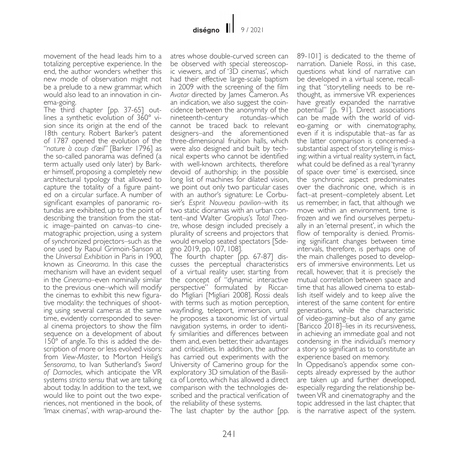movement of the head leads him to a totalizing perceptive experience. In the end, the author wonders whether this new mode of observation might not be a prelude to a new grammar, which would also lead to an innovation in cinema-going.

The third chapter [pp. 37-65] outlines a synthetic evolution of 360° vision since its origin at the end of the 18th century. Robert Barker's patent of 1787 opened the evolution of the "*nature à coup d'œil*" [Barker 1796] as the so-called panorama was defined (a term actually used only later) by Barker himself, proposing a completely new architectural typology that allowed to capture the totality of a figure painted on a circular surface. A number of significant examples of panoramic rotundas are exhibited, up to the point of describing the transition from the static image–painted on canvas–to cinematographic projection, using a system of synchronized projectors–such as the one used by Raoul Grimoin-Sanson at the *Universal Exhibition* in Paris in 1900, known as *Cineorama*. In this case the mechanism will have an evident sequel in the *Cinerama*–even nominally similar to the previous one–which will modify the cinemas to exhibit this new figurative modality: the techniques of shooting using several cameras at the same time, evidently corresponded to several cinema projectors to show the film sequence on a development of about 150° of angle. To this is added the description of more or less evolved visors: from *View-Master*, to Morton Heilig's *Sensorama*, to Ivan Sutherland's *Sword of Damocles*, which anticipate the VR systems *stricto sensu* that we are talking about today. In addition to the text, we would like to point out the two experiences, not mentioned in the book, of 'Imax cinemas', with wrap-around theatres whose double-curved screen can be observed with special stereoscopic viewers, and of '3D cinemas', which had their effective large-scale baptism in 2009 with the screening of the film *Avatar* directed by James Cameron. As an indication, we also suggest the coincidence between the anonymity of the nineteenth-century rotundas–which cannot be traced back to relevant designers–and the aforementioned three-dimensional fruition halls, which were also designed and built by technical experts who cannot be identified with well-known architects, therefore devoid of authorship; in the possible long list of machines for dilated vision, we point out only two particular cases with an author's signature: Le Corbusier's *Esprit Nouveau pavilion*–with its two static dioramas with an urban content–and Walter Gropius's *Total Theatre*, whose design included precisely a plurality of screens and projectors that would envelop seated spectators [Sdegno 2019, pp. 107, 108].

The fourth chapter [pp. 67-87] discusses the perceptual characteristics of a virtual reality user, starting from the concept of "dynamic interactive perspective" formulated by Riccardo Migliari [Migliari 2008]. Rossi deals with terms such as motion perception, wayfinding, teleport, immersion, until he proposes a taxonomic list of virtual navigation systems, in order to identify similarities and differences between them and, even better, their advantages and criticalities. In addition, the author has carried out experiments with the University of Camerino group for the exploratory 3D simulation of the Basili- ca of Loreto, which has allowed a direct comparison with the technologies described and the practical verification of the reliability of these systems.

The last chapter by the author [pp.

89-101] is dedicated to the theme of narration. Daniele Rossi, in this case, questions what kind of narrative can be developed in a virtual scene, recalling that "storytelling needs to be rethought, as immersive VR experiences have greatly expanded the narrative potential" [p. 91]. Direct associations can be made with the world of video-gaming or with cinematography, even if it is indisputable that–as far as the latter comparison is concerned–a substantial aspect of storytelling is missing: within a virtual reality system, in fact, what could be defined as a real 'tyranny of space over time' is exercised, since the synchronic aspect predominates over the diachronic one, which is in fact–at present–completely absent. Let us remember, in fact, that although we move within an environment, time is frozen and we find ourselves perpetually in an 'eternal present', in which the flow of temporality is denied. Promising significant changes between time intervals, therefore, is perhaps one of the main challenges posed to developers of immersive environments. Let us recall, however, that it is precisely the mutual correlation between space and time that has allowed cinema to establish itself widely and to keep alive the interest of the same content for entire generations, while the characteristic of video-gaming–but also of any game [Baricco 2018]–lies in its recursiveness, in achieving an immediate goal and not condensing in the individual's memory a story so significant as to constitute an experience based on memory.

In Oppedisano's appendix some con- cepts already expressed by the author are taken up and further developed, especially regarding the relationship between VR and cinematography and the topic addressed in the last chapter, that is the narrative aspect of the system.